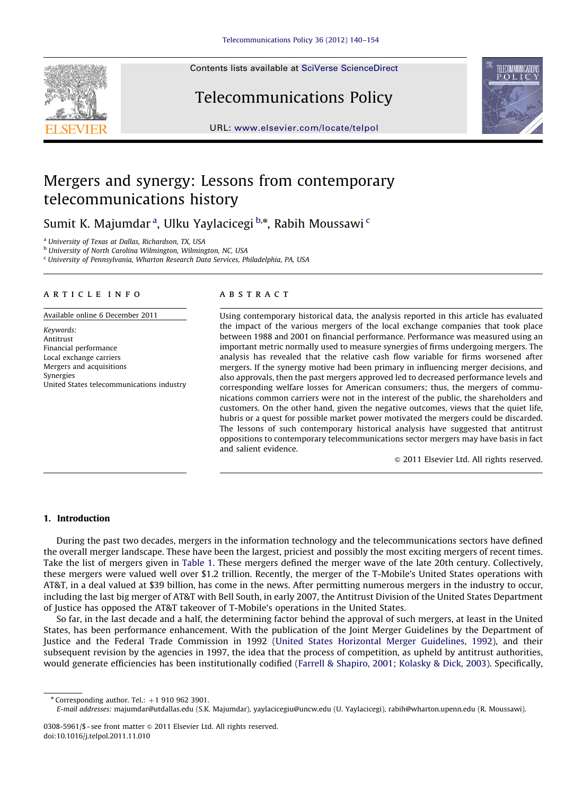Contents lists available at [SciVerse ScienceDirect](www.elsevier.com/locate/telpol)

## Telecommunications Policy



URL: <www.elsevier.com/locate/telpol>

## Mergers and synergy: Lessons from contemporary telecommunications history

Sumit K. Majumdar<sup>a</sup>, Ulku Yaylacicegi <sup>b,\*</sup>, Rabih Moussawi <sup>c</sup>

<sup>a</sup> University of Texas at Dallas, Richardson, TX, USA

**b University of North Carolina Wilmington, Wilmington, NC, USA** 

<sup>c</sup> University of Pennsylvania, Wharton Research Data Services, Philadelphia, PA, USA

#### article info

Available online 6 December 2011

Keywords: Antitrust Financial performance Local exchange carriers Mergers and acquisitions Synergies United States telecommunications industry

### **ABSTRACT**

Using contemporary historical data, the analysis reported in this article has evaluated the impact of the various mergers of the local exchange companies that took place between 1988 and 2001 on financial performance. Performance was measured using an important metric normally used to measure synergies of firms undergoing mergers. The analysis has revealed that the relative cash flow variable for firms worsened after mergers. If the synergy motive had been primary in influencing merger decisions, and also approvals, then the past mergers approved led to decreased performance levels and corresponding welfare losses for American consumers; thus, the mergers of communications common carriers were not in the interest of the public, the shareholders and customers. On the other hand, given the negative outcomes, views that the quiet life, hubris or a quest for possible market power motivated the mergers could be discarded. The lessons of such contemporary historical analysis have suggested that antitrust oppositions to contemporary telecommunications sector mergers may have basis in fact and salient evidence.

 $@$  2011 Elsevier Ltd. All rights reserved.

#### 1. Introduction

During the past two decades, mergers in the information technology and the telecommunications sectors have defined the overall merger landscape. These have been the largest, priciest and possibly the most exciting mergers of recent times. Take the list of mergers given in [Table 1.](#page-1-0) These mergers defined the merger wave of the late 20th century. Collectively, these mergers were valued well over \$1.2 trillion. Recently, the merger of the T-Mobile's United States operations with AT&T, in a deal valued at \$39 billion, has come in the news. After permitting numerous mergers in the industry to occur, including the last big merger of AT&T with Bell South, in early 2007, the Antitrust Division of the United States Department of Justice has opposed the AT&T takeover of T-Mobile's operations in the United States.

So far, in the last decade and a half, the determining factor behind the approval of such mergers, at least in the United States, has been performance enhancement. With the publication of the Joint Merger Guidelines by the Department of Justice and the Federal Trade Commission in 1992 ([United States Horizontal Merger Guidelines, 1992](#page--1-0)), and their subsequent revision by the agencies in 1997, the idea that the process of competition, as upheld by antitrust authorities, would generate efficiencies has been institutionally codified ([Farrell & Shapiro, 2001](#page--1-0); [Kolasky](#page--1-0) [& Dick, 2003](#page--1-0)). Specifically,

 $*$  Corresponding author. Tel.:  $+1$  910 962 3901.



E-mail addresses: [majumdar@utdallas.edu \(S.K. Majumdar\)](mailto:majumdar@utdallas.edu), [yaylacicegiu@uncw.edu \(U. Yaylacicegi\)](mailto:yaylacicegiu@uncw.edu), [rabih@wharton.upenn.edu \(R. Moussawi\)](mailto:rabih@wharton.upenn.edu).

<sup>0308-5961/\$ -</sup> see front matter  $\odot$  2011 Elsevier Ltd. All rights reserved. doi:[10.1016/j.telpol.2011.11.010](dx.doi.org/10.1016/j.telpol.2011.11.010)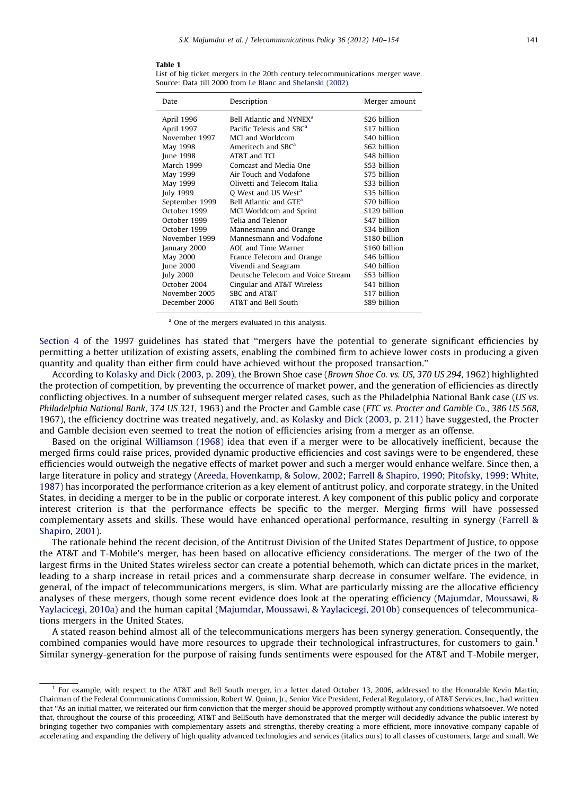#### <span id="page-1-0"></span>Table 1

List of big ticket mergers in the 20th century telecommunications merger wave. Source: Data till 2000 from [Le Blanc and Shelanski \(2002\)](#page--1-0).

| Date             | Description                          | Merger amount |
|------------------|--------------------------------------|---------------|
| April 1996       | Bell Atlantic and NYNEX <sup>a</sup> | \$26 billion  |
| April 1997       | Pacific Telesis and SBC <sup>a</sup> | \$17 billion  |
| November 1997    | <b>MCI</b> and Worldcom              | \$40 billion  |
| May 1998         | Ameritech and SBC <sup>a</sup>       | \$62 billion  |
| June 1998        | AT&T and TCI                         | \$48 billion  |
| March 1999       | Comcast and Media One                | \$53 billion  |
| May 1999         | Air Touch and Vodafone               | \$75 billion  |
| May 1999         | Olivetti and Telecom Italia          | \$33 billion  |
| July 1999        | Q West and US West <sup>a</sup>      | \$35 billion  |
| September 1999   | Bell Atlantic and GTE <sup>a</sup>   | \$70 billion  |
| October 1999     | MCI Worldcom and Sprint              | \$129 billion |
| October 1999     | Telia and Telenor                    | \$47 billion  |
| October 1999     | Mannesmann and Orange                | \$34 billion  |
| November 1999    | Mannesmann and Vodafone              | \$180 billion |
| January 2000     | AOL and Time Warner                  | \$160 billion |
| May 2000         | France Telecom and Orange            | \$46 billion  |
| June 2000        | Vivendi and Seagram                  | \$40 billion  |
| <b>July 2000</b> | Deutsche Telecom and Voice Stream    | \$53 billion  |
| October 2004     | Cingular and AT&T Wireless           | \$41 billion  |
| November 2005    | SBC and AT&T                         | \$17 billion  |
| December 2006    | AT&T and Bell South                  | \$89 billion  |

<sup>a</sup> One of the mergers evaluated in this analysis.

[Section 4](#page--1-0) of the 1997 guidelines has stated that ''mergers have the potential to generate significant efficiencies by permitting a better utilization of existing assets, enabling the combined firm to achieve lower costs in producing a given quantity and quality than either firm could have achieved without the proposed transaction.''

According to [Kolasky and Dick \(2003, p. 209\),](#page--1-0) the Brown Shoe case (Brown Shoe Co. vs. US, 370 US 294, 1962) highlighted the protection of competition, by preventing the occurrence of market power, and the generation of efficiencies as directly conflicting objectives. In a number of subsequent merger related cases, such as the Philadelphia National Bank case (US vs. Philadelphia National Bank, 374 US 321, 1963) and the Procter and Gamble case (FTC vs. Procter and Gamble Co., 386 US 568, 1967), the efficiency doctrine was treated negatively, and, as [Kolasky and Dick \(2003, p. 211\)](#page--1-0) have suggested, the Procter and Gamble decision even seemed to treat the notion of efficiencies arising from a merger as an offense.

Based on the original [Williamson \(1968\)](#page--1-0) idea that even if a merger were to be allocatively inefficient, because the merged firms could raise prices, provided dynamic productive efficiencies and cost savings were to be engendered, these efficiencies would outweigh the negative effects of market power and such a merger would enhance welfare. Since then, a large literature in policy and strategy ([Areeda, Hovenkamp, & Solow, 2002](#page--1-0); [Farrell & Shapiro, 1990](#page--1-0); [Pitofsky, 1999](#page--1-0); [White,](#page--1-0) [1987](#page--1-0)) has incorporated the performance criterion as a key element of antitrust policy, and corporate strategy, in the United States, in deciding a merger to be in the public or corporate interest. A key component of this public policy and corporate interest criterion is that the performance effects be specific to the merger. Merging firms will have possessed complementary assets and skills. These would have enhanced operational performance, resulting in synergy [\(Farrell](#page--1-0) & [Shapiro, 2001\)](#page--1-0).

The rationale behind the recent decision, of the Antitrust Division of the United States Department of Justice, to oppose the AT&T and T-Mobile's merger, has been based on allocative efficiency considerations. The merger of the two of the largest firms in the United States wireless sector can create a potential behemoth, which can dictate prices in the market, leading to a sharp increase in retail prices and a commensurate sharp decrease in consumer welfare. The evidence, in general, of the impact of telecommunications mergers, is slim. What are particularly missing are the allocative efficiency analyses of these mergers, though some recent evidence does look at the operating efficiency ([Majumdar, Moussawi,](#page--1-0) & [Yaylacicegi, 2010a](#page--1-0)) and the human capital [\(Majumdar, Moussawi, & Yaylacicegi, 2010b](#page--1-0)) consequences of telecommunications mergers in the United States.

A stated reason behind almost all of the telecommunications mergers has been synergy generation. Consequently, the combined companies would have more resources to upgrade their technological infrastructures, for customers to gain.<sup>1</sup> Similar synergy-generation for the purpose of raising funds sentiments were espoused for the AT&T and T-Mobile merger,

<sup>&</sup>lt;sup>1</sup> For example, with respect to the AT&T and Bell South merger, in a letter dated October 13, 2006, addressed to the Honorable Kevin Martin, Chairman of the Federal Communications Commission, Robert W. Quinn, Jr., Senior Vice President, Federal Regulatory, of AT&T Services, Inc., had written that ''As an initial matter, we reiterated our firm conviction that the merger should be approved promptly without any conditions whatsoever. We noted that, throughout the course of this proceeding, AT&T and BellSouth have demonstrated that the merger will decidedly advance the public interest by bringing together two companies with complementary assets and strengths, thereby creating a more efficient, more innovative company capable of accelerating and expanding the delivery of high quality advanced technologies and services (italics ours) to all classes of customers, large and small. We